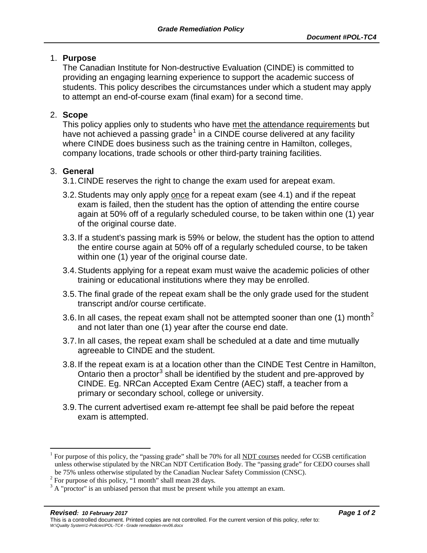### 1. **Purpose**

The Canadian Institute for Non-destructive Evaluation (CINDE) is committed to providing an engaging learning experience to support the academic success of students. This policy describes the circumstances under which a student may apply to attempt an end-of-course exam (final exam) for a second time.

# 2. **Scope**

This policy applies only to students who have met the attendance requirements but have not achieved a passing grade<sup>[1](#page-0-0)</sup> in a CINDE course delivered at any facility where CINDE does business such as the training centre in Hamilton, colleges, company locations, trade schools or other third-party training facilities.

# 3. **General**

- 3.1.CINDE reserves the right to change the exam used for arepeat exam.
- 3.2.Students may only apply once for a repeat exam (see 4.1) and if the repeat exam is failed, then the student has the option of attending the entire course again at 50% off of a regularly scheduled course, to be taken within one (1) year of the original course date.
- 3.3.If a student's passing mark is 59% or below, the student has the option to attend the entire course again at 50% off of a regularly scheduled course, to be taken within one (1) year of the original course date.
- 3.4.Students applying for a repeat exam must waive the academic policies of other training or educational institutions where they may be enrolled.
- 3.5.The final grade of the repeat exam shall be the only grade used for the student transcript and/or course certificate.
- 3.6. In all cases, the repeat exam shall not be attempted sooner than one (1) month<sup>[2](#page-0-1)</sup> and not later than one (1) year after the course end date.
- 3.7.In all cases, the repeat exam shall be scheduled at a date and time mutually agreeable to CINDE and the student.
- 3.8.If the repeat exam is at a location other than the CINDE Test Centre in Hamilton, Ontario then a proctor<sup>[3](#page-0-2)</sup> shall be identified by the student and pre-approved by CINDE. Eg. NRCan Accepted Exam Centre (AEC) staff, a teacher from a primary or secondary school, college or university.
- 3.9.The current advertised exam re-attempt fee shall be paid before the repeat exam is attempted.

<span id="page-0-0"></span> <sup>1</sup> For purpose of this policy, the "passing grade" shall be 70% for all NDT courses needed for CGSB certification unless otherwise stipulated by the NRCan NDT Certification Body. The "passing grade" for CEDO courses shall

be 75% unless otherwise stipulated by the Canadian Nuclear Safety Commission (CNSC).<br><sup>2</sup> For purpose of this policy, "1 month" shall mean 28 days.

<span id="page-0-2"></span><span id="page-0-1"></span> $3 \text{ A}$  "proctor" is an unbiased person that must be present while you attempt an exam.